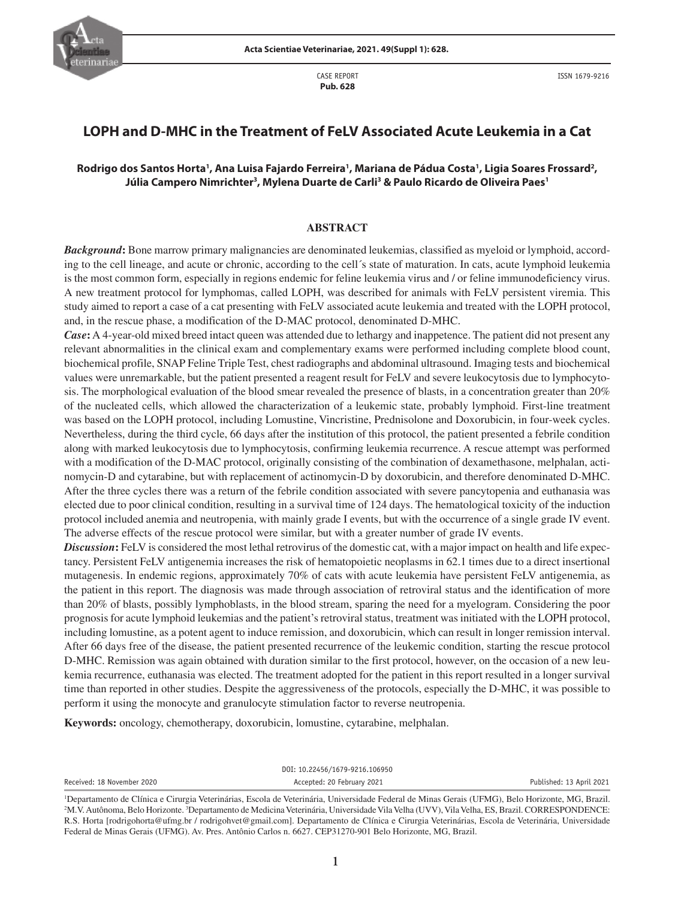

CASE REPORT **Pub. 628**

# **LOPH and D-MHC in the Treatment of FeLV Associated Acute Leukemia in a Cat**

## **Rodrigo dos Santos Horta1 , Ana Luisa Fajardo Ferreira1 , Mariana de Pádua Costa1 , Ligia Soares Frossard2 , Júlia Campero Nimrichter3 , Mylena Duarte de Carli3 & Paulo Ricardo de Oliveira Paes1**

#### **ABSTRACT**

*Background***:** Bone marrow primary malignancies are denominated leukemias, classified as myeloid or lymphoid, according to the cell lineage, and acute or chronic, according to the cell´s state of maturation. In cats, acute lymphoid leukemia is the most common form, especially in regions endemic for feline leukemia virus and / or feline immunodeficiency virus. A new treatment protocol for lymphomas, called LOPH, was described for animals with FeLV persistent viremia. This study aimed to report a case of a cat presenting with FeLV associated acute leukemia and treated with the LOPH protocol, and, in the rescue phase, a modification of the D-MAC protocol, denominated D-MHC.

*Case*: A 4-year-old mixed breed intact queen was attended due to lethargy and inappetence. The patient did not present any relevant abnormalities in the clinical exam and complementary exams were performed including complete blood count, biochemical profile, SNAP Feline Triple Test, chest radiographs and abdominal ultrasound. Imaging tests and biochemical values were unremarkable, but the patient presented a reagent result for FeLV and severe leukocytosis due to lymphocytosis. The morphological evaluation of the blood smear revealed the presence of blasts, in a concentration greater than 20% of the nucleated cells, which allowed the characterization of a leukemic state, probably lymphoid. First-line treatment was based on the LOPH protocol, including Lomustine, Vincristine, Prednisolone and Doxorubicin, in four-week cycles. Nevertheless, during the third cycle, 66 days after the institution of this protocol, the patient presented a febrile condition along with marked leukocytosis due to lymphocytosis, confirming leukemia recurrence. A rescue attempt was performed with a modification of the D-MAC protocol, originally consisting of the combination of dexamethasone, melphalan, actinomycin-D and cytarabine, but with replacement of actinomycin-D by doxorubicin, and therefore denominated D-MHC. After the three cycles there was a return of the febrile condition associated with severe pancytopenia and euthanasia was elected due to poor clinical condition, resulting in a survival time of 124 days. The hematological toxicity of the induction protocol included anemia and neutropenia, with mainly grade I events, but with the occurrence of a single grade IV event. The adverse effects of the rescue protocol were similar, but with a greater number of grade IV events.

*Discussion*: FeLV is considered the most lethal retrovirus of the domestic cat, with a major impact on health and life expectancy. Persistent FeLV antigenemia increases the risk of hematopoietic neoplasms in 62.1 times due to a direct insertional mutagenesis. In endemic regions, approximately 70% of cats with acute leukemia have persistent FeLV antigenemia, as the patient in this report. The diagnosis was made through association of retroviral status and the identification of more than 20% of blasts, possibly lymphoblasts, in the blood stream, sparing the need for a myelogram. Considering the poor prognosis for acute lymphoid leukemias and the patient's retroviral status, treatment was initiated with the LOPH protocol, including lomustine, as a potent agent to induce remission, and doxorubicin, which can result in longer remission interval. After 66 days free of the disease, the patient presented recurrence of the leukemic condition, starting the rescue protocol D-MHC. Remission was again obtained with duration similar to the first protocol, however, on the occasion of a new leukemia recurrence, euthanasia was elected. The treatment adopted for the patient in this report resulted in a longer survival time than reported in other studies. Despite the aggressiveness of the protocols, especially the D-MHC, it was possible to perform it using the monocyte and granulocyte stimulation factor to reverse neutropenia.

**Keywords:** oncology, chemotherapy, doxorubicin, lomustine, cytarabine, melphalan.

|                            | DOI: 10.22456/1679-9216.106950 |                          |
|----------------------------|--------------------------------|--------------------------|
| Received: 18 November 2020 | Accepted: 20 February 2021     | Published: 13 April 2021 |
|                            |                                |                          |

<sup>1</sup> Departamento de Clínica e Cirurgia Veterinárias, Escola de Veterinária, Universidade Federal de Minas Gerais (UFMG), Belo Horizonte, MG, Brazil. <sup>2</sup>M.V. Autônoma, Belo Horizonte. <sup>3</sup>Departamento de Medicina Veterinária, Universidade Vila Velha (UVV), Vila Velha, ES, Brazil. CORRESPONDENCE: R.S. Horta [rodrigohorta@ufmg.br / rodrigohvet@gmail.com]. Departamento de Clínica e Cirurgia Veterinárias, Escola de Veterinária, Universidade Federal de Minas Gerais (UFMG). Av. Pres. Antônio Carlos n. 6627. CEP31270-901 Belo Horizonte, MG, Brazil.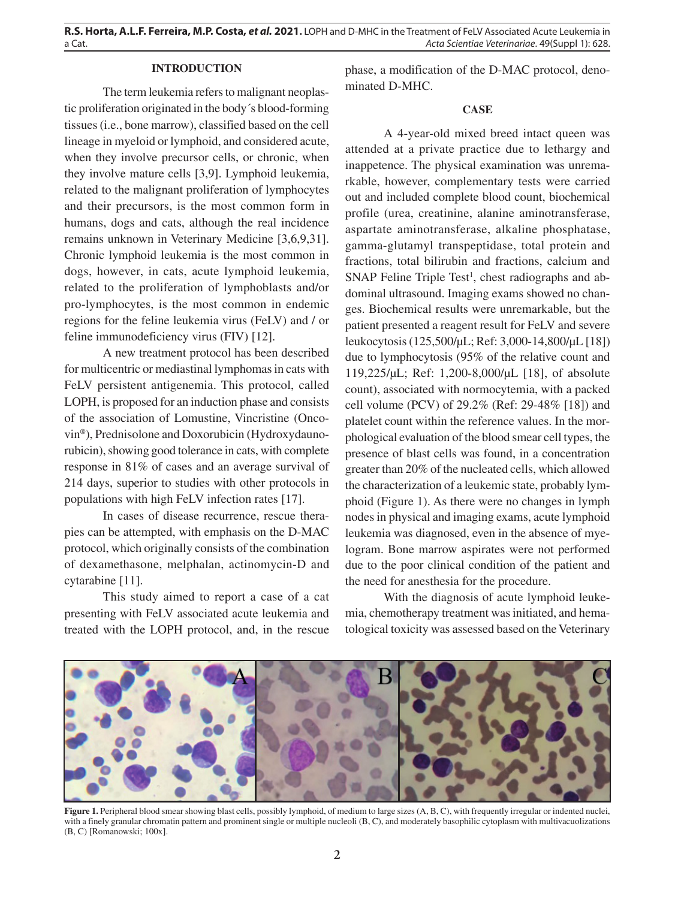#### **INTRODUCTION**

The term leukemia refers to malignant neoplastic proliferation originated in the body´s blood-forming tissues (i.e., bone marrow), classified based on the cell lineage in myeloid or lymphoid, and considered acute, when they involve precursor cells, or chronic, when they involve mature cells [3,9]. Lymphoid leukemia, related to the malignant proliferation of lymphocytes and their precursors, is the most common form in humans, dogs and cats, although the real incidence remains unknown in Veterinary Medicine [3,6,9,31]. Chronic lymphoid leukemia is the most common in dogs, however, in cats, acute lymphoid leukemia, related to the proliferation of lymphoblasts and/or pro-lymphocytes, is the most common in endemic regions for the feline leukemia virus (FeLV) and / or feline immunodeficiency virus (FIV) [12].

A new treatment protocol has been described for multicentric or mediastinal lymphomas in cats with FeLV persistent antigenemia. This protocol, called LOPH, is proposed for an induction phase and consists of the association of Lomustine, Vincristine (Oncovin®), Prednisolone and Doxorubicin (Hydroxydaunorubicin), showing good tolerance in cats, with complete response in 81% of cases and an average survival of 214 days, superior to studies with other protocols in populations with high FeLV infection rates [17].

In cases of disease recurrence, rescue therapies can be attempted, with emphasis on the D-MAC protocol, which originally consists of the combination of dexamethasone, melphalan, actinomycin-D and cytarabine [11].

This study aimed to report a case of a cat presenting with FeLV associated acute leukemia and treated with the LOPH protocol, and, in the rescue

phase, a modification of the D-MAC protocol, denominated D-MHC.

#### **CASE**

A 4-year-old mixed breed intact queen was attended at a private practice due to lethargy and inappetence. The physical examination was unremarkable, however, complementary tests were carried out and included complete blood count, biochemical profile (urea, creatinine, alanine aminotransferase, aspartate aminotransferase, alkaline phosphatase, gamma-glutamyl transpeptidase, total protein and fractions, total bilirubin and fractions, calcium and  $SNAP$  Feline Triple Test<sup>1</sup>, chest radiographs and abdominal ultrasound. Imaging exams showed no changes. Biochemical results were unremarkable, but the patient presented a reagent result for FeLV and severe leukocytosis (125,500/µL; Ref: 3,000-14,800/µL [18]) due to lymphocytosis (95% of the relative count and 119,225/µL; Ref: 1,200-8,000/µL [18], of absolute count), associated with normocytemia, with a packed cell volume (PCV) of 29.2% (Ref: 29-48% [18]) and platelet count within the reference values. In the morphological evaluation of the blood smear cell types, the presence of blast cells was found, in a concentration greater than 20% of the nucleated cells, which allowed the characterization of a leukemic state, probably lymphoid (Figure 1). As there were no changes in lymph nodes in physical and imaging exams, acute lymphoid leukemia was diagnosed, even in the absence of myelogram. Bone marrow aspirates were not performed due to the poor clinical condition of the patient and the need for anesthesia for the procedure.

With the diagnosis of acute lymphoid leukemia, chemotherapy treatment was initiated, and hematological toxicity was assessed based on the Veterinary



Figure 1. Peripheral blood smear showing blast cells, possibly lymphoid, of medium to large sizes  $(A, B, C)$ , with frequently irregular or indented nuclei, with a finely granular chromatin pattern and prominent single or multiple nucleoli (B, C), and moderately basophilic cytoplasm with multivacuolizations (B, C) [Romanowski; 100x].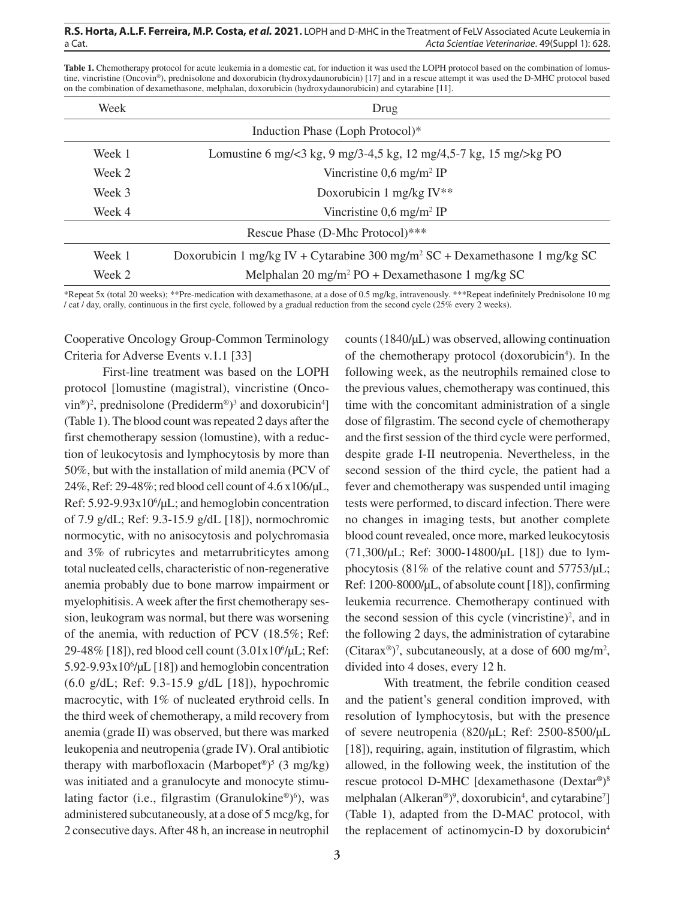| Week                             | Drug                                                                                    |  |
|----------------------------------|-----------------------------------------------------------------------------------------|--|
| Induction Phase (Loph Protocol)* |                                                                                         |  |
| Week 1                           | Lomustine 6 mg/ $\lt 3$ kg, 9 mg/3-4,5 kg, 12 mg/4,5-7 kg, 15 mg/ $\lt$ kg PO           |  |
| Week 2                           | Vincristine $0.6 \text{ mg/m}^2$ IP                                                     |  |
| Week 3                           | Doxorubicin 1 mg/kg $IV**$                                                              |  |
| Week 4                           | Vincristine $0.6 \text{ mg/m}^2$ IP                                                     |  |
| Rescue Phase (D-Mhc Protocol)*** |                                                                                         |  |
| Week 1                           | Doxorubicin 1 mg/kg IV + Cytarabine 300 mg/m <sup>2</sup> SC + Dexamethasone 1 mg/kg SC |  |
| Week 2                           | Melphalan 20 mg/m <sup>2</sup> PO + Dexamethasone 1 mg/kg SC                            |  |

Table 1. Chemotherapy protocol for acute leukemia in a domestic cat, for induction it was used the LOPH protocol based on the combination of lomustine, vincristine (Oncovin®), prednisolone and doxorubicin (hydroxydaunorubicin) [17] and in a rescue attempt it was used the D-MHC protocol based on the combination of dexamethasone, melphalan, doxorubicin (hydroxydaunorubicin) and cytarabine [11].

\*Repeat 5x (total 20 weeks); \*\*Pre-medication with dexamethasone, at a dose of 0.5 mg/kg, intravenously. \*\*\*Repeat indefinitely Prednisolone 10 mg / cat / day, orally, continuous in the first cycle, followed by a gradual reduction from the second cycle (25% every 2 weeks).

Cooperative Oncology Group-Common Terminology Criteria for Adverse Events v.1.1 [33]

First-line treatment was based on the LOPH protocol [lomustine (magistral), vincristine (Onco- $\text{vin}^{\circledcirc}$ )<sup>2</sup>, prednisolone (Prediderm<sup>®</sup>)<sup>3</sup> and doxorubicin<sup>4</sup>] (Table 1). The blood count was repeated 2 days after the first chemotherapy session (lomustine), with a reduction of leukocytosis and lymphocytosis by more than 50%, but with the installation of mild anemia (PCV of 24%, Ref: 29-48%; red blood cell count of 4.6 x106/µL, Ref: 5.92-9.93x10<sup>6</sup>/µL; and hemoglobin concentration of 7.9 g/dL; Ref: 9.3-15.9 g/dL [18]), normochromic normocytic, with no anisocytosis and polychromasia and 3% of rubricytes and metarrubriticytes among total nucleated cells, characteristic of non-regenerative anemia probably due to bone marrow impairment or myelophitisis. A week after the first chemotherapy session, leukogram was normal, but there was worsening of the anemia, with reduction of PCV (18.5%; Ref: 29-48% [18]), red blood cell count (3.01x106 /µL; Ref: 5.92-9.93x106 /µL [18]) and hemoglobin concentration (6.0 g/dL; Ref: 9.3-15.9 g/dL [18]), hypochromic macrocytic, with 1% of nucleated erythroid cells. In the third week of chemotherapy, a mild recovery from anemia (grade II) was observed, but there was marked leukopenia and neutropenia (grade IV). Oral antibiotic therapy with marbofloxacin (Marbopet<sup>®</sup>)<sup>5</sup> (3 mg/kg) was initiated and a granulocyte and monocyte stimulating factor (i.e., filgrastim (Granulokine®)<sup>6</sup>), was administered subcutaneously, at a dose of 5 mcg/kg, for 2 consecutive days. After 48 h, an increase in neutrophil

counts (1840/µL) was observed, allowing continuation of the chemotherapy protocol (doxorubicin<sup>4</sup>). In the following week, as the neutrophils remained close to the previous values, chemotherapy was continued, this time with the concomitant administration of a single dose of filgrastim. The second cycle of chemotherapy and the first session of the third cycle were performed, despite grade I-II neutropenia. Nevertheless, in the second session of the third cycle, the patient had a fever and chemotherapy was suspended until imaging tests were performed, to discard infection. There were no changes in imaging tests, but another complete blood count revealed, once more, marked leukocytosis (71,300/µL; Ref: 3000-14800/µL [18]) due to lymphocytosis (81% of the relative count and 57753/µL; Ref: 1200-8000/µL, of absolute count [18]), confirming leukemia recurrence. Chemotherapy continued with the second session of this cycle (vincristine)<sup>2</sup>, and in the following 2 days, the administration of cytarabine (Citarax<sup>®</sup>)<sup>7</sup>, subcutaneously, at a dose of 600 mg/m<sup>2</sup>, divided into 4 doses, every 12 h.

With treatment, the febrile condition ceased and the patient's general condition improved, with resolution of lymphocytosis, but with the presence of severe neutropenia (820/µL; Ref: 2500-8500/µL [18]), requiring, again, institution of filgrastim, which allowed, in the following week, the institution of the rescue protocol D-MHC [dexamethasone (Dextar®) 8 melphalan (Alkeran®)<sup>9</sup>, doxorubicin<sup>4</sup>, and cytarabine<sup>7</sup>] (Table 1), adapted from the D-MAC protocol, with the replacement of actinomycin-D by doxorubicin<sup>4</sup>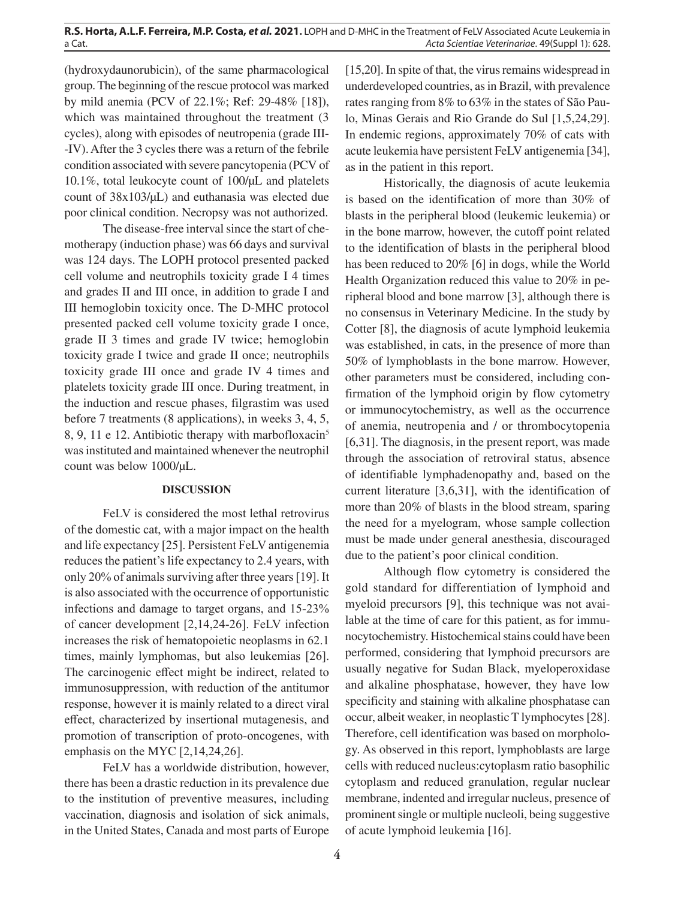(hydroxydaunorubicin), of the same pharmacological group. The beginning of the rescue protocol was marked by mild anemia (PCV of 22.1%; Ref: 29-48% [18]), which was maintained throughout the treatment (3) cycles), along with episodes of neutropenia (grade III- -IV). After the 3 cycles there was a return of the febrile condition associated with severe pancytopenia (PCV of 10.1%, total leukocyte count of 100/µL and platelets count of 38x103/µL) and euthanasia was elected due poor clinical condition. Necropsy was not authorized.

The disease-free interval since the start of chemotherapy (induction phase) was 66 days and survival was 124 days. The LOPH protocol presented packed cell volume and neutrophils toxicity grade I 4 times and grades II and III once, in addition to grade I and III hemoglobin toxicity once. The D-MHC protocol presented packed cell volume toxicity grade I once, grade II 3 times and grade IV twice; hemoglobin toxicity grade I twice and grade II once; neutrophils toxicity grade III once and grade IV 4 times and platelets toxicity grade III once. During treatment, in the induction and rescue phases, filgrastim was used before 7 treatments (8 applications), in weeks 3, 4, 5, 8, 9, 11 e 12. Antibiotic therapy with marbofloxacin5 was instituted and maintained whenever the neutrophil count was below 1000/µL.

#### **DISCUSSION**

FeLV is considered the most lethal retrovirus of the domestic cat, with a major impact on the health and life expectancy [25]. Persistent FeLV antigenemia reduces the patient's life expectancy to 2.4 years, with only 20% of animals surviving after three years [19]. It is also associated with the occurrence of opportunistic infections and damage to target organs, and 15-23% of cancer development [2,14,24-26]. FeLV infection increases the risk of hematopoietic neoplasms in 62.1 times, mainly lymphomas, but also leukemias [26]. The carcinogenic effect might be indirect, related to immunosuppression, with reduction of the antitumor response, however it is mainly related to a direct viral effect, characterized by insertional mutagenesis, and promotion of transcription of proto-oncogenes, with emphasis on the MYC [2,14,24,26].

FeLV has a worldwide distribution, however, there has been a drastic reduction in its prevalence due to the institution of preventive measures, including vaccination, diagnosis and isolation of sick animals, in the United States, Canada and most parts of Europe [15,20]. In spite of that, the virus remains widespread in underdeveloped countries, as in Brazil, with prevalence rates ranging from 8% to 63% in the states of São Paulo, Minas Gerais and Rio Grande do Sul [1,5,24,29]. In endemic regions, approximately 70% of cats with acute leukemia have persistent FeLV antigenemia [34], as in the patient in this report.

Historically, the diagnosis of acute leukemia is based on the identification of more than 30% of blasts in the peripheral blood (leukemic leukemia) or in the bone marrow, however, the cutoff point related to the identification of blasts in the peripheral blood has been reduced to 20% [6] in dogs, while the World Health Organization reduced this value to 20% in peripheral blood and bone marrow [3], although there is no consensus in Veterinary Medicine. In the study by Cotter [8], the diagnosis of acute lymphoid leukemia was established, in cats, in the presence of more than 50% of lymphoblasts in the bone marrow. However, other parameters must be considered, including confirmation of the lymphoid origin by flow cytometry or immunocytochemistry, as well as the occurrence of anemia, neutropenia and / or thrombocytopenia [6,31]. The diagnosis, in the present report, was made through the association of retroviral status, absence of identifiable lymphadenopathy and, based on the current literature [3,6,31], with the identification of more than 20% of blasts in the blood stream, sparing the need for a myelogram, whose sample collection must be made under general anesthesia, discouraged due to the patient's poor clinical condition.

Although flow cytometry is considered the gold standard for differentiation of lymphoid and myeloid precursors [9], this technique was not available at the time of care for this patient, as for immunocytochemistry. Histochemical stains could have been performed, considering that lymphoid precursors are usually negative for Sudan Black, myeloperoxidase and alkaline phosphatase, however, they have low specificity and staining with alkaline phosphatase can occur, albeit weaker, in neoplastic T lymphocytes [28]. Therefore, cell identification was based on morphology. As observed in this report, lymphoblasts are large cells with reduced nucleus:cytoplasm ratio basophilic cytoplasm and reduced granulation, regular nuclear membrane, indented and irregular nucleus, presence of prominent single or multiple nucleoli, being suggestive of acute lymphoid leukemia [16].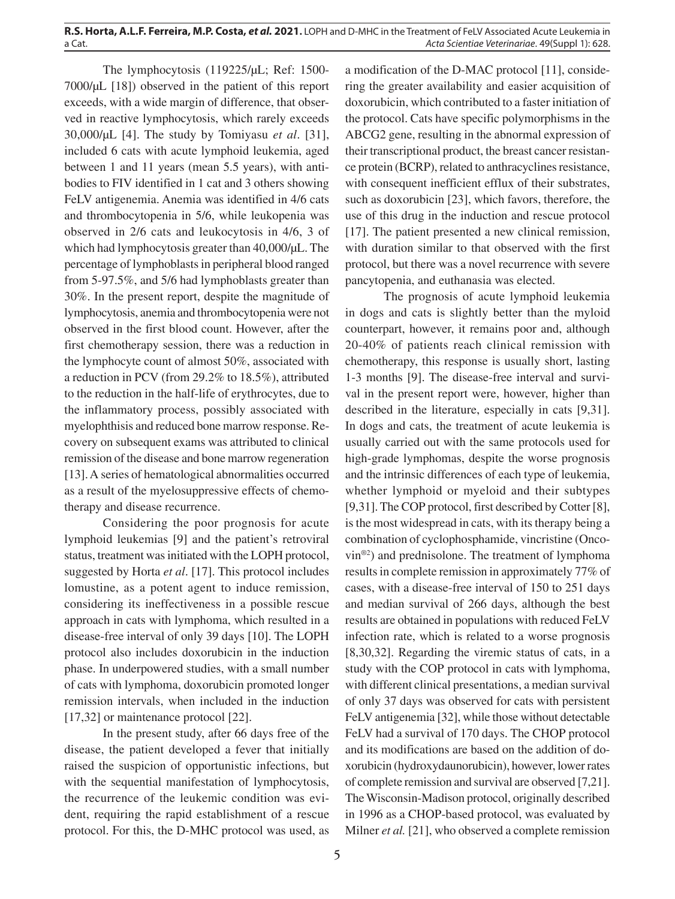The lymphocytosis (119225/µL; Ref: 1500- 7000/µL [18]) observed in the patient of this report exceeds, with a wide margin of difference, that observed in reactive lymphocytosis, which rarely exceeds 30,000/µL [4]. The study by Tomiyasu *et al*. [31], included 6 cats with acute lymphoid leukemia, aged between 1 and 11 years (mean 5.5 years), with antibodies to FIV identified in 1 cat and 3 others showing FeLV antigenemia. Anemia was identified in 4/6 cats and thrombocytopenia in 5/6, while leukopenia was observed in 2/6 cats and leukocytosis in 4/6, 3 of which had lymphocytosis greater than 40,000/µL. The percentage of lymphoblasts in peripheral blood ranged from 5-97.5%, and 5/6 had lymphoblasts greater than 30%. In the present report, despite the magnitude of lymphocytosis, anemia and thrombocytopenia were not observed in the first blood count. However, after the first chemotherapy session, there was a reduction in the lymphocyte count of almost 50%, associated with a reduction in PCV (from 29.2% to 18.5%), attributed to the reduction in the half-life of erythrocytes, due to the inflammatory process, possibly associated with myelophthisis and reduced bone marrow response. Recovery on subsequent exams was attributed to clinical remission of the disease and bone marrow regeneration [13]. A series of hematological abnormalities occurred as a result of the myelosuppressive effects of chemotherapy and disease recurrence.

Considering the poor prognosis for acute lymphoid leukemias [9] and the patient's retroviral status, treatment was initiated with the LOPH protocol, suggested by Horta *et al*. [17]. This protocol includes lomustine, as a potent agent to induce remission, considering its ineffectiveness in a possible rescue approach in cats with lymphoma, which resulted in a disease-free interval of only 39 days [10]. The LOPH protocol also includes doxorubicin in the induction phase. In underpowered studies, with a small number of cats with lymphoma, doxorubicin promoted longer remission intervals, when included in the induction [17,32] or maintenance protocol [22].

In the present study, after 66 days free of the disease, the patient developed a fever that initially raised the suspicion of opportunistic infections, but with the sequential manifestation of lymphocytosis, the recurrence of the leukemic condition was evident, requiring the rapid establishment of a rescue protocol. For this, the D-MHC protocol was used, as

a modification of the D-MAC protocol [11], considering the greater availability and easier acquisition of doxorubicin, which contributed to a faster initiation of the protocol. Cats have specific polymorphisms in the ABCG2 gene, resulting in the abnormal expression of their transcriptional product, the breast cancer resistance protein (BCRP), related to anthracyclines resistance, with consequent inefficient efflux of their substrates, such as doxorubicin [23], which favors, therefore, the use of this drug in the induction and rescue protocol [17]. The patient presented a new clinical remission, with duration similar to that observed with the first protocol, but there was a novel recurrence with severe pancytopenia, and euthanasia was elected.

The prognosis of acute lymphoid leukemia in dogs and cats is slightly better than the myloid counterpart, however, it remains poor and, although 20-40% of patients reach clinical remission with chemotherapy, this response is usually short, lasting 1-3 months [9]. The disease-free interval and survival in the present report were, however, higher than described in the literature, especially in cats [9,31]. In dogs and cats, the treatment of acute leukemia is usually carried out with the same protocols used for high-grade lymphomas, despite the worse prognosis and the intrinsic differences of each type of leukemia, whether lymphoid or myeloid and their subtypes [9,31]. The COP protocol, first described by Cotter [8], is the most widespread in cats, with its therapy being a combination of cyclophosphamide, vincristine (Oncovin®2) and prednisolone. The treatment of lymphoma results in complete remission in approximately 77% of cases, with a disease-free interval of 150 to 251 days and median survival of 266 days, although the best results are obtained in populations with reduced FeLV infection rate, which is related to a worse prognosis [8,30,32]. Regarding the viremic status of cats, in a study with the COP protocol in cats with lymphoma, with different clinical presentations, a median survival of only 37 days was observed for cats with persistent FeLV antigenemia [32], while those without detectable FeLV had a survival of 170 days. The CHOP protocol and its modifications are based on the addition of doxorubicin (hydroxydaunorubicin), however, lower rates of complete remission and survival are observed [7,21]. The Wisconsin-Madison protocol, originally described in 1996 as a CHOP-based protocol, was evaluated by Milner *et al.* [21], who observed a complete remission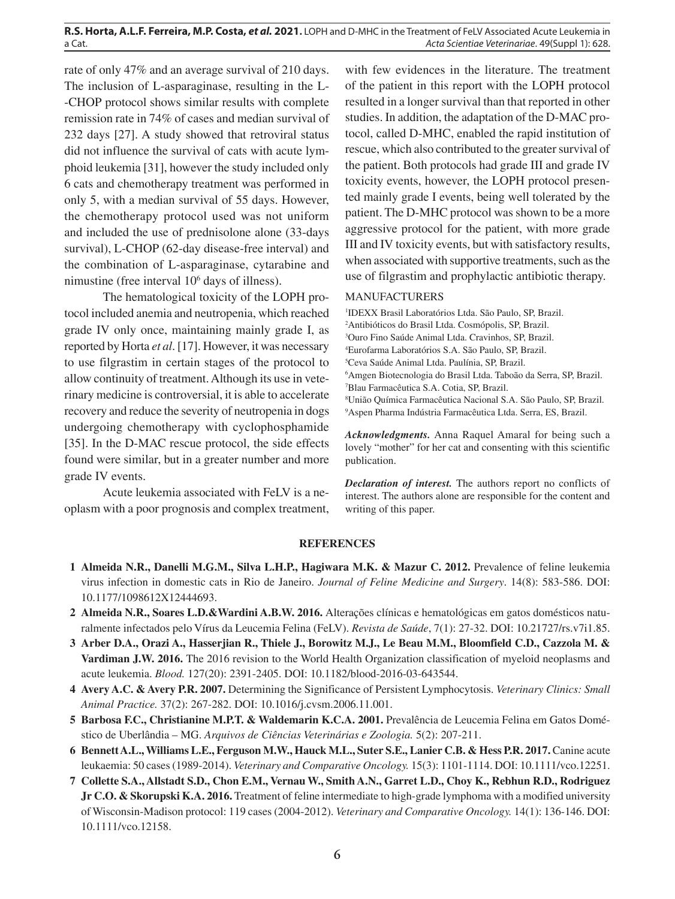rate of only 47% and an average survival of 210 days. The inclusion of L-asparaginase, resulting in the L- -CHOP protocol shows similar results with complete remission rate in 74% of cases and median survival of 232 days [27]. A study showed that retroviral status did not influence the survival of cats with acute lymphoid leukemia [31], however the study included only 6 cats and chemotherapy treatment was performed in only 5, with a median survival of 55 days. However, the chemotherapy protocol used was not uniform and included the use of prednisolone alone (33-days survival), L-CHOP (62-day disease-free interval) and the combination of L-asparaginase, cytarabine and nimustine (free interval 106 days of illness).

The hematological toxicity of the LOPH protocol included anemia and neutropenia, which reached grade IV only once, maintaining mainly grade I, as reported by Horta *et al*. [17]. However, it was necessary to use filgrastim in certain stages of the protocol to allow continuity of treatment. Although its use in veterinary medicine is controversial, it is able to accelerate recovery and reduce the severity of neutropenia in dogs undergoing chemotherapy with cyclophosphamide [35]. In the D-MAC rescue protocol, the side effects found were similar, but in a greater number and more grade IV events.

Acute leukemia associated with FeLV is a neoplasm with a poor prognosis and complex treatment,

with few evidences in the literature. The treatment of the patient in this report with the LOPH protocol resulted in a longer survival than that reported in other studies. In addition, the adaptation of the D-MAC protocol, called D-MHC, enabled the rapid institution of rescue, which also contributed to the greater survival of the patient. Both protocols had grade III and grade IV toxicity events, however, the LOPH protocol presented mainly grade I events, being well tolerated by the patient. The D-MHC protocol was shown to be a more aggressive protocol for the patient, with more grade III and IV toxicity events, but with satisfactory results, when associated with supportive treatments, such as the use of filgrastim and prophylactic antibiotic therapy.

## MANUFACTURERS

 IDEXX Brasil Laboratórios Ltda. São Paulo, SP, Brazil. Antibióticos do Brasil Ltda. Cosmópolis, SP, Brazil. Ouro Fino Saúde Animal Ltda. Cravinhos, SP, Brazil. Eurofarma Laboratórios S.A. São Paulo, SP, Brazil. Ceva Saúde Animal Ltda. Paulínia, SP, Brazil. Amgen Biotecnologia do Brasil Ltda. Taboão da Serra, SP, Brazil. Blau Farmacêutica S.A. Cotia, SP, Brazil. União Química Farmacêutica Nacional S.A. São Paulo, SP, Brazil. Aspen Pharma Indústria Farmacêutica Ltda. Serra, ES, Brazil.

*Acknowledgments.* Anna Raquel Amaral for being such a lovely "mother" for her cat and consenting with this scientific publication.

*Declaration of interest.* The authors report no conflicts of interest. The authors alone are responsible for the content and writing of this paper.

#### **REFERENCES**

- **1 Almeida N.R., Danelli M.G.M., Silva L.H.P., Hagiwara M.K. & Mazur C. 2012.** Prevalence of feline leukemia virus infection in domestic cats in Rio de Janeiro. *Journal of Feline Medicine and Surgery*. 14(8): 583-586. DOI: 10.1177/1098612X12444693.
- **2 Almeida N.R., Soares L.D.&Wardini A.B.W. 2016.** Alterações clínicas e hematológicas em gatos domésticos naturalmente infectados pelo Vírus da Leucemia Felina (FeLV). *Revista de Saúde*, 7(1): 27-32. DOI: 10.21727/rs.v7i1.85.
- **3 Arber D.A., Orazi A., Hasserjian R., Thiele J., Borowitz M.J., Le Beau M.M., Bloomfield C.D., Cazzola M. & Vardiman J.W. 2016.** The 2016 revision to the World Health Organization classification of myeloid neoplasms and acute leukemia. *Blood.* 127(20): 2391-2405. DOI: 10.1182/blood-2016-03-643544.
- **4 Avery A.C. & Avery P.R. 2007.** Determining the Significance of Persistent Lymphocytosis. *Veterinary Clinics: Small Animal Practice.* 37(2): 267-282. DOI: 10.1016/j.cvsm.2006.11.001.
- **5 Barbosa F.C., Christianine M.P.T. & Waldemarin K.C.A. 2001.** Prevalência de Leucemia Felina em Gatos Doméstico de Uberlândia – MG. *Arquivos de Ciências Veterinárias e Zoologia.* 5(2): 207-211.
- **6 Bennett A.L., Williams L.E., Ferguson M.W., Hauck M.L., Suter S.E., Lanier C.B. & Hess P.R. 2017.** Canine acute leukaemia: 50 cases (1989-2014). *Veterinary and Comparative Oncology.* 15(3): 1101-1114. DOI: 10.1111/vco.12251.
- **7 Collette S.A., Allstadt S.D., Chon E.M., Vernau W., Smith A.N., Garret L.D., Choy K., Rebhun R.D., Rodriguez Jr C.O. & Skorupski K.A. 2016.** Treatment of feline intermediate to high-grade lymphoma with a modified university of Wisconsin-Madison protocol: 119 cases (2004-2012). *Veterinary and Comparative Oncology.* 14(1): 136-146. DOI: 10.1111/vco.12158.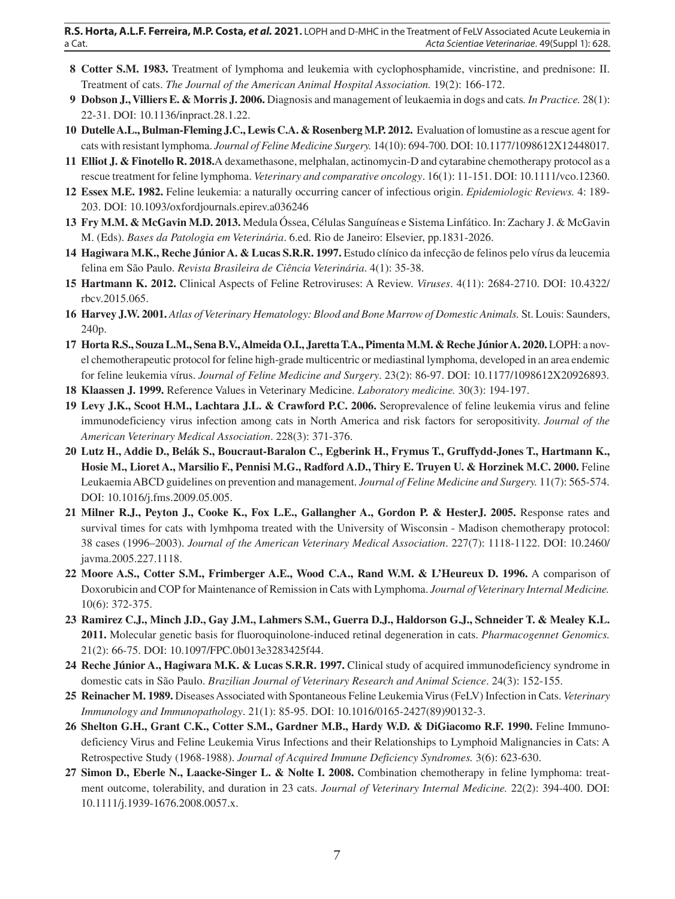- **8 Cotter S.M. 1983.** Treatment of lymphoma and leukemia with cyclophosphamide, vincristine, and prednisone: II. Treatment of cats. *The Journal of the American Animal Hospital Association.* 19(2): 166-172.
- **9 Dobson J., Villiers E. & Morris J. 2006.** Diagnosis and management of leukaemia in dogs and cats*. In Practice.* 28(1): 22-31. DOI: 10.1136/inpract.28.1.22.
- **10 Dutelle A.L., Bulman-Fleming J.C., Lewis C.A. & Rosenberg M.P. 2012.** Evaluation of lomustine as a rescue agent for cats with resistant lymphoma. *Journal of Feline Medicine Surgery.* 14(10): 694-700. DOI: 10.1177/1098612X12448017.
- **11 Elliot J. & Finotello R. 2018.**A dexamethasone, melphalan, actinomycin-D and cytarabine chemotherapy protocol as a rescue treatment for feline lymphoma. *Veterinary and comparative oncology*. 16(1): 11-151. DOI: 10.1111/vco.12360.
- **12 Essex M.E. 1982.** Feline leukemia: a naturally occurring cancer of infectious origin. *Epidemiologic Reviews.* 4: 189- 203. DOI: 10.1093/oxfordjournals.epirev.a036246
- **13 Fry M.M. & McGavin M.D. 2013.** Medula Óssea, Células Sanguíneas e Sistema Linfático. In: Zachary J. & McGavin M. (Eds). *Bases da Patologia em Veterinária*. 6.ed. Rio de Janeiro: Elsevier, pp.1831-2026.
- **14 Hagiwara M.K., Reche Júnior A. & Lucas S.R.R. 1997.** Estudo clínico da infecção de felinos pelo vírus da leucemia felina em São Paulo. *Revista Brasileira de Ciência Veterinária*. 4(1): 35-38.
- **15 Hartmann K. 2012.** Clinical Aspects of Feline Retroviruses: A Review. *Viruses*. 4(11): 2684-2710. DOI: 10.4322/ rbcv.2015.065.
- **16 Harvey J.W. 2001.** *Atlas of Veterinary Hematology: Blood and Bone Marrow of Domestic Animals.* St. Louis: Saunders, 240p.
- **17 Horta R.S., Souza L.M., Sena B.V., Almeida O.I., Jaretta T.A., Pimenta M.M. & Reche Júnior A. 2020.** LOPH: a novel chemotherapeutic protocol for feline high-grade multicentric or mediastinal lymphoma, developed in an area endemic for feline leukemia vírus. *Journal of Feline Medicine and Surgery*. 23(2): 86-97. DOI: 10.1177/1098612X20926893.
- **18 Klaassen J. 1999.** Reference Values in Veterinary Medicine. *Laboratory medicine.* 30(3): 194-197.
- **19 Levy J.K., Scoot H.M., Lachtara J.L. & Crawford P.C. 2006.** Seroprevalence of feline leukemia virus and feline immunodeficiency virus infection among cats in North America and risk factors for seropositivity. *Journal of the American Veterinary Medical Association*. 228(3): 371-376.
- **20 Lutz H., Addie D., Belák S., Boucraut-Baralon C., Egberink H., Frymus T., Gruffydd-Jones T., Hartmann K., Hosie M., Lioret A., Marsilio F., Pennisi M.G., Radford A.D., Thiry E. Truyen U. & Horzinek M.C. 2000.** Feline Leukaemia ABCD guidelines on prevention and management. *Journal of Feline Medicine and Surgery.* 11(7): 565-574. DOI: 10.1016/j.fms.2009.05.005.
- **21 Milner R.J., Peyton J., Cooke K., Fox L.E., Gallangher A., Gordon P. & HesterJ. 2005.** Response rates and survival times for cats with lymhpoma treated with the University of Wisconsin - Madison chemotherapy protocol: 38 cases (1996–2003). *Journal of the American Veterinary Medical Association*. 227(7): 1118-1122. DOI: 10.2460/ javma.2005.227.1118.
- **22 Moore A.S., Cotter S.M., Frimberger A.E., Wood C.A., Rand W.M. & L'Heureux D. 1996.** A comparison of Doxorubicin and COP for Maintenance of Remission in Cats with Lymphoma. *Journal of Veterinary Internal Medicine.*  10(6): 372-375.
- **23 Ramirez C.J., Minch J.D., Gay J.M., Lahmers S.M., Guerra D.J., Haldorson G.J., Schneider T. & Mealey K.L. 2011.** Molecular genetic basis for fluoroquinolone-induced retinal degeneration in cats. *Pharmacogennet Genomics.* 21(2): 66-75. DOI: 10.1097/FPC.0b013e3283425f44.
- **24 Reche Júnior A., Hagiwara M.K. & Lucas S.R.R. 1997.** Clinical study of acquired immunodeficiency syndrome in domestic cats in São Paulo. *Brazilian Journal of Veterinary Research and Animal Science*. 24(3): 152-155.
- **25 Reinacher M. 1989.** Diseases Associated with Spontaneous Feline Leukemia Virus (FeLV) Infection in Cats. *Veterinary Immunology and Immunopathology*. 21(1): 85-95. DOI: 10.1016/0165-2427(89)90132-3.
- **26 Shelton G.H., Grant C.K., Cotter S.M., Gardner M.B., Hardy W.D. & DiGiacomo R.F. 1990.** Feline Immunodeficiency Virus and Feline Leukemia Virus Infections and their Relationships to Lymphoid Malignancies in Cats: A Retrospective Study (1968-1988). *Journal of Acquired Immune Deficiency Syndromes.* 3(6): 623-630.
- **27 Simon D., Eberle N., Laacke-Singer L. & Nolte I. 2008.** Combination chemotherapy in feline lymphoma: treatment outcome, tolerability, and duration in 23 cats. *Journal of Veterinary Internal Medicine.* 22(2): 394-400. DOI: 10.1111/j.1939-1676.2008.0057.x.